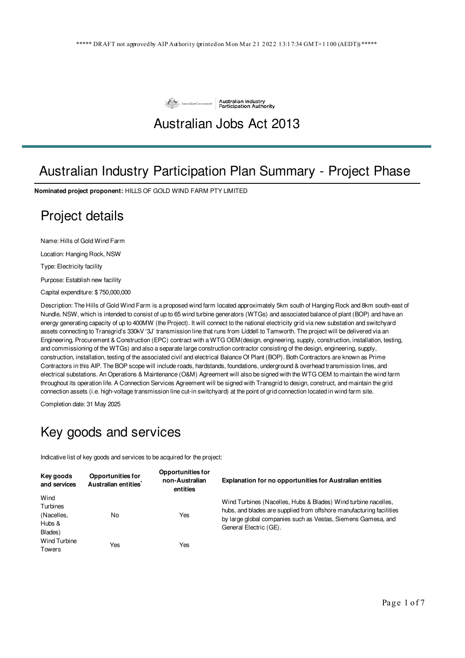

### Australian Jobs Act 2013

## Australian Industry Participation Plan Summary - Project Phase

**Nominated project proponent:** HILLS OF GOLD WIND FARM PTY LIMITED

### Project details

Name: Hills of Gold Wind Farm

Location: Hanging Rock, NSW

Type: Electricity facility

Purpose: Establish new facility

Capital expenditure: \$ 750,000,000

Description: The Hills of Gold Wind Farm is a proposed wind farm located approximately 5km south of Hanging Rock and 8km south-east of Nundle, NSW, which is intended to consist of up to 65 wind turbine generators (WTGs) and associated balance of plant (BOP) and have an energy generating capacity of up to 400MW (the Project). It will connect to the national electricity grid via new substation and switchyard assets connecting to Transgrid's 330kV '3J' transmission line that runs from Liddell to Tamworth. The project will be delivered via an Engineering, Procurement & Construction (EPC) contract with a WTG OEM(design, engineering, supply, construction, installation, testing, and commissioning of the WTGs) and also a separate large construction contractor consisting of the design, engineering, supply, construction, installation, testing of the associated civil and electrical Balance Of Plant (BOP). Both Contractors are known as Prime Contractors in this AIP. The BOP scope will include roads, hardstands, foundations, underground & overhead transmission lines, and electrical substations. An Operations & Maintenance (O&M) Agreement will also be signed with the WTG OEM to maintain the wind farm throughout its operation life. A Connection Services Agreement will be signed with Transgrid to design, construct, and maintain the grid connection assets (i.e. high-voltage transmission line cut-in switchyard) at the point of grid connection located in wind farm site.

Completion date: 31 May 2025

#### Key goods and services

Indicative list of key goods and services to be acquired for the project:

| Key goods<br>and services                                                                                | <b>Opportunities for</b><br>Australian entities <sup>*</sup>                                                                                                                                                                      | <b>Opportunities for</b><br>non-Australian<br>entities | <b>Explanation for no opportunities for Australian entities</b> |
|----------------------------------------------------------------------------------------------------------|-----------------------------------------------------------------------------------------------------------------------------------------------------------------------------------------------------------------------------------|--------------------------------------------------------|-----------------------------------------------------------------|
| Wind<br>Turbines<br>(Nacelles,<br>Yes<br>No<br>Hubs &<br>Blades)<br>Wind Turbine<br>Yes<br>Yes<br>Towers | Wind Turbines (Nacelles, Hubs & Blades) Wind turbine nacelles,<br>hubs, and blades are supplied from offshore manufacturing facilities<br>by large global companies such as Vestas, Siemens Gamesa, and<br>General Electric (GE). |                                                        |                                                                 |
|                                                                                                          |                                                                                                                                                                                                                                   |                                                        |                                                                 |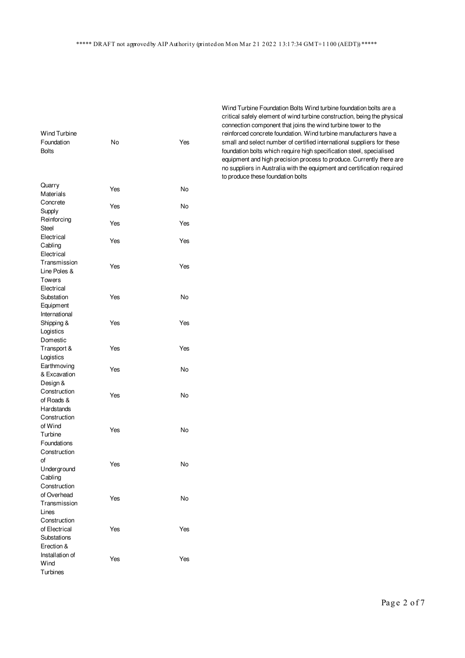| Wind Turbine    |     |     |
|-----------------|-----|-----|
| Foundation      | No  | Yes |
| <b>Bolts</b>    |     |     |
|                 |     |     |
|                 |     |     |
|                 |     |     |
| Quarry          |     |     |
| Materials       | Yes | No  |
| Concrete        |     |     |
| Supply          | Yes | No  |
| Reinforcing     |     |     |
| <b>Steel</b>    | Yes | Yes |
| Electrical      |     |     |
| Cabling         | Yes | Yes |
| Electrical      |     |     |
| Transmission    |     |     |
| Line Poles &    | Yes | Yes |
| Towers          |     |     |
|                 |     |     |
| Electrical      |     |     |
| Substation      | Yes | No  |
| Equipment       |     |     |
| International   |     |     |
| Shipping &      | Yes | Yes |
| Logistics       |     |     |
| Domestic        |     |     |
| Transport &     | Yes | Yes |
| Logistics       |     |     |
| Earthmoving     | Yes | No  |
| & Excavation    |     |     |
| Design &        |     |     |
| Construction    | Yes | No  |
| of Roads &      |     |     |
| Hardstands      |     |     |
| Construction    |     |     |
| of Wind         | Yes | No  |
| Turbine         |     |     |
| Foundations     |     |     |
| Construction    |     |     |
| οf              | Yes | No  |
| Underground     |     |     |
| Cabling         |     |     |
| Construction    |     |     |
| of Overhead     | Yes | No  |
| Transmission    |     |     |
| Lines           |     |     |
| Construction    |     |     |
| of Electrical   | Yes | Yes |
| Substations     |     |     |
| Erection &      |     |     |
| Installation of |     |     |
| Wind            | Yes | Yes |
| Turbines        |     |     |

Wind Turbine Foundation Bolts Wind turbine foundation bolts are a critical safely element of wind turbine construction, being the physical connection component that joins the wind turbine tower to the reinforced concrete foundation. Wind turbine manufacturers have a small and select number of certified international suppliers for these foundation bolts which require high specification steel, specialised equipment and high precision process to produce. Currently there are no suppliers in Australia with the equipment and certification required to produce these foundation bolts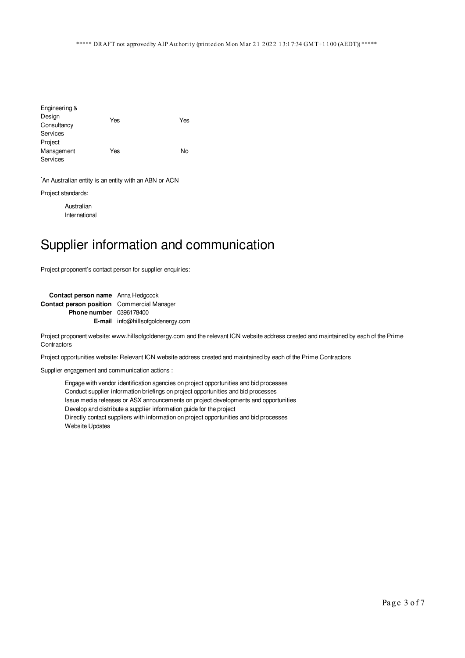| Engineering & |     |     |
|---------------|-----|-----|
| Design        | Yes | Yes |
| Consultancy   |     |     |
| Services      |     |     |
| Project       |     |     |
| Management    | Yes | No  |
| Services      |     |     |

\*An Australian entity is an entity with an ABN or ACN

Project standards:

Australian International

# Supplier information and communication

Project proponent's contact person for supplier enquiries:

| Contact person name Anna Hedgcock                 |                                          |
|---------------------------------------------------|------------------------------------------|
| <b>Contact person position</b> Commercial Manager |                                          |
| <b>Phone number</b> 0396178400                    |                                          |
|                                                   | <b>E-mail</b> info@hillsofgoldenergy.com |

Project proponent website: www.hillsofgoldenergy.com and the relevant ICN website address created and maintained by each of the Prime **Contractors** 

Project opportunities website: Relevant ICN website address created and maintained by each of the Prime Contractors

Supplier engagement and communication actions :

Engage with vendor identification agencies on project opportunities and bid processes Conduct supplier information briefings on project opportunities and bid processes Issue media releases or ASX announcements on project developments and opportunities Develop and distribute a supplier information guide for the project Directly contact suppliers with information on project opportunities and bid processes Website Updates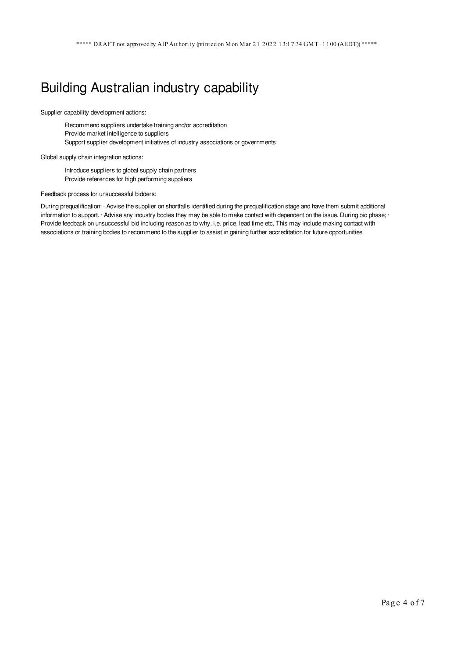## Building Australian industry capability

Supplier capability development actions:

Recommend suppliers undertake training and/or accreditation Provide market intelligence to suppliers Support supplier development initiatives of industry associations or governments

Global supply chain integration actions:

Introduce suppliers to global supply chain partners Provide references for high performing suppliers

Feedback process for unsuccessful bidders:

During prequalification; · Advise the supplier on shortfalls identified during the prequalification stage and have them submit additional information to support. · Advise any industry bodies they may be able to make contact with dependent on the issue. During bid phase; · Provide feedback on unsuccessful bid including reason as to why, i.e. price, lead time etc, This may include making contact with associations or training bodies to recommend to the supplier to assist in gaining further accreditation for future opportunities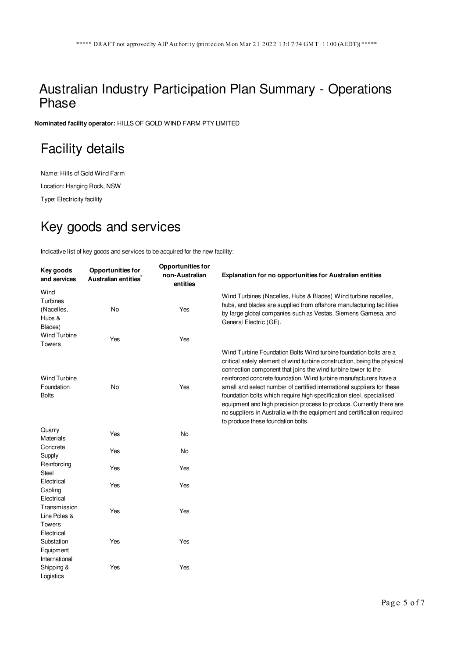#### Australian Industry Participation Plan Summary - Operations Phase

**Nominated facility operator:** HILLS OF GOLD WIND FARM PTY LIMITED

## Facility details

Name: Hills of Gold Wind Farm

Location: Hanging Rock, NSW

Type: Electricity facility

# Key goods and services

Indicative list of key goods and services to be acquired for the new facility:

| Key goods<br>and services                              | <b>Opportunities for</b><br>Australian entities <sup>*</sup> | <b>Opportunities for</b><br>non-Australian<br>entities | Explanation for no opportunities for Australian entities                                                                                                                                                                                                                                                                                                                                                                                                                                                                                                                                                                       |
|--------------------------------------------------------|--------------------------------------------------------------|--------------------------------------------------------|--------------------------------------------------------------------------------------------------------------------------------------------------------------------------------------------------------------------------------------------------------------------------------------------------------------------------------------------------------------------------------------------------------------------------------------------------------------------------------------------------------------------------------------------------------------------------------------------------------------------------------|
| Wind<br>Turbines<br>(Nacelles,<br>Hubs &<br>Blades)    | <b>No</b>                                                    | Yes                                                    | Wind Turbines (Nacelles, Hubs & Blades) Wind turbine nacelles,<br>hubs, and blades are supplied from offshore manufacturing facilities<br>by large global companies such as Vestas, Siemens Gamesa, and<br>General Electric (GE).                                                                                                                                                                                                                                                                                                                                                                                              |
| <b>Wind Turbine</b><br><b>Towers</b>                   | Yes                                                          | Yes                                                    |                                                                                                                                                                                                                                                                                                                                                                                                                                                                                                                                                                                                                                |
| <b>Wind Turbine</b><br>Foundation<br><b>Bolts</b>      | <b>No</b>                                                    | Yes                                                    | Wind Turbine Foundation Bolts Wind turbine foundation bolts are a<br>critical safely element of wind turbine construction, being the physical<br>connection component that joins the wind turbine tower to the<br>reinforced concrete foundation. Wind turbine manufacturers have a<br>small and select number of certified international suppliers for these<br>foundation bolts which require high specification steel, specialised<br>equipment and high precision process to produce. Currently there are<br>no suppliers in Australia with the equipment and certification required<br>to produce these foundation bolts. |
| Quarry<br>Materials                                    | Yes                                                          | No                                                     |                                                                                                                                                                                                                                                                                                                                                                                                                                                                                                                                                                                                                                |
| Concrete<br>Supply                                     | Yes                                                          | No                                                     |                                                                                                                                                                                                                                                                                                                                                                                                                                                                                                                                                                                                                                |
| Reinforcing<br>Steel                                   | Yes                                                          | Yes                                                    |                                                                                                                                                                                                                                                                                                                                                                                                                                                                                                                                                                                                                                |
| Electrical<br>Cabling<br>Electrical                    | Yes                                                          | Yes                                                    |                                                                                                                                                                                                                                                                                                                                                                                                                                                                                                                                                                                                                                |
| Transmission<br>Line Poles &<br><b>Towers</b>          | Yes                                                          | Yes                                                    |                                                                                                                                                                                                                                                                                                                                                                                                                                                                                                                                                                                                                                |
| Electrical<br>Substation<br>Equipment<br>International | Yes                                                          | Yes                                                    |                                                                                                                                                                                                                                                                                                                                                                                                                                                                                                                                                                                                                                |
| Shipping &<br>Logistics                                | Yes                                                          | Yes                                                    |                                                                                                                                                                                                                                                                                                                                                                                                                                                                                                                                                                                                                                |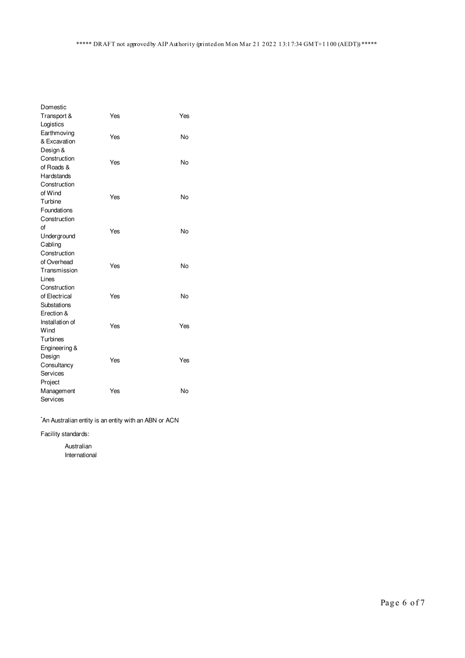| Domestic        |     |     |
|-----------------|-----|-----|
| Transport &     | Yes | Yes |
| Logistics       |     |     |
| Earthmoving     | Yes | No  |
| & Excavation    |     |     |
| Design &        |     |     |
| Construction    | Yes | No  |
| of Roads &      |     |     |
| Hardstands      |     |     |
| Construction    |     |     |
| of Wind         |     |     |
| Turbine         | Yes | No  |
| Foundations     |     |     |
| Construction    |     |     |
| οf              |     |     |
| Underground     | Yes | No  |
| Cabling         |     |     |
| Construction    |     |     |
| of Overhead     | Yes | No  |
| Transmission    |     |     |
| Lines           |     |     |
| Construction    |     |     |
| of Electrical   | Yes | No  |
| Substations     |     |     |
| Erection &      |     |     |
| Installation of | Yes | Yes |
| Wind            |     |     |
| Turbines        |     |     |
| Engineering &   |     |     |
| Design          |     |     |
| Consultancy     | Yes | Yes |
| Services        |     |     |
| Project         |     |     |
| Management      | Yes | No  |
| Services        |     |     |

\*An Australian entity is an entity with an ABN or ACN

Facility standards:

Australian International